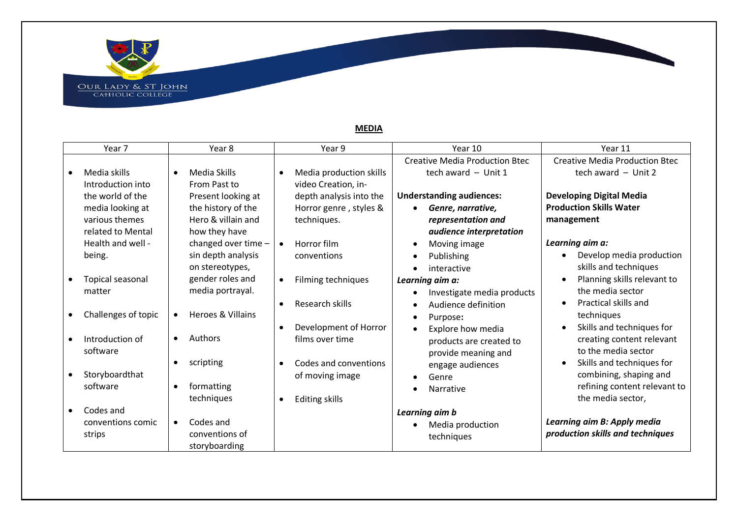OUR LADY & ST JOHN<br>CAHOLIC COLLEGE

Year 7 | Year 8 | Year 9 | Year 10 | Year 11 • Media skills Introduction into the world of the media looking at various themes related to Mental Health and well being. • Topical seasonal matter • Challenges of topic • Introduction of software • Storyboardthat software • Codes and conventions comic strips • Media Skills From Past to Present looking at the history of the Hero & villain and how they have changed over time – sin depth analysis on stereotypes, gender roles and media portrayal. • Heroes & Villains • Authors • scripting • formatting techniques • Codes and conventions of storyboarding • Media production skills video Creation, indepth analysis into the Horror genre , styles & techniques. • Horror film conventions • Filming techniques • Research skills • Development of Horror films over time • Codes and conventions of moving image • Editing skills Creative Media Production Btec tech award – Unit 1 **Understanding audiences:** • *Genre, narrative, representation and audience interpretation* • Moving image • Publishing • interactive *Learning aim a:*  • Investigate media products • Audience definition • Purpose**:** • Explore how media products are created to provide meaning and engage audiences • Genre • Narrative *Learning aim b* • Media production techniques Creative Media Production Btec tech award – Unit 2 **Developing Digital Media Production Skills Water management** *Learning aim a:* • Develop media production skills and techniques • Planning skills relevant to the media sector • Practical skills and techniques • Skills and techniques for creating content relevant to the media sector • Skills and techniques for combining, shaping and refining content relevant to the media sector, *Learning aim B: Apply media production skills and techniques*

## **MEDIA**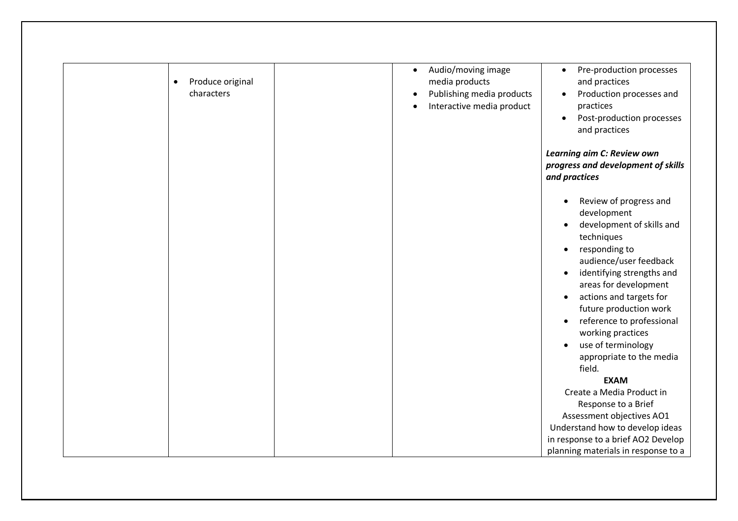| Produce original<br>$\bullet$<br>characters | Audio/moving image<br>Pre-production processes<br>$\bullet$<br>$\bullet$<br>media products<br>and practices<br>Publishing media products<br>Production processes and<br>Interactive media product<br>practices<br>Post-production processes<br>$\bullet$<br>and practices                                                                                                                                |
|---------------------------------------------|----------------------------------------------------------------------------------------------------------------------------------------------------------------------------------------------------------------------------------------------------------------------------------------------------------------------------------------------------------------------------------------------------------|
|                                             | Learning aim C: Review own<br>progress and development of skills<br>and practices                                                                                                                                                                                                                                                                                                                        |
|                                             | Review of progress and<br>$\bullet$<br>development<br>development of skills and<br>techniques<br>responding to<br>$\bullet$<br>audience/user feedback<br>identifying strengths and<br>areas for development<br>actions and targets for<br>$\bullet$<br>future production work<br>reference to professional<br>$\bullet$<br>working practices<br>use of terminology<br>appropriate to the media<br>field. |
|                                             | <b>EXAM</b>                                                                                                                                                                                                                                                                                                                                                                                              |
|                                             | Create a Media Product in                                                                                                                                                                                                                                                                                                                                                                                |
|                                             | Response to a Brief                                                                                                                                                                                                                                                                                                                                                                                      |
|                                             | Assessment objectives AO1                                                                                                                                                                                                                                                                                                                                                                                |
|                                             | Understand how to develop ideas                                                                                                                                                                                                                                                                                                                                                                          |
|                                             | in response to a brief AO2 Develop                                                                                                                                                                                                                                                                                                                                                                       |